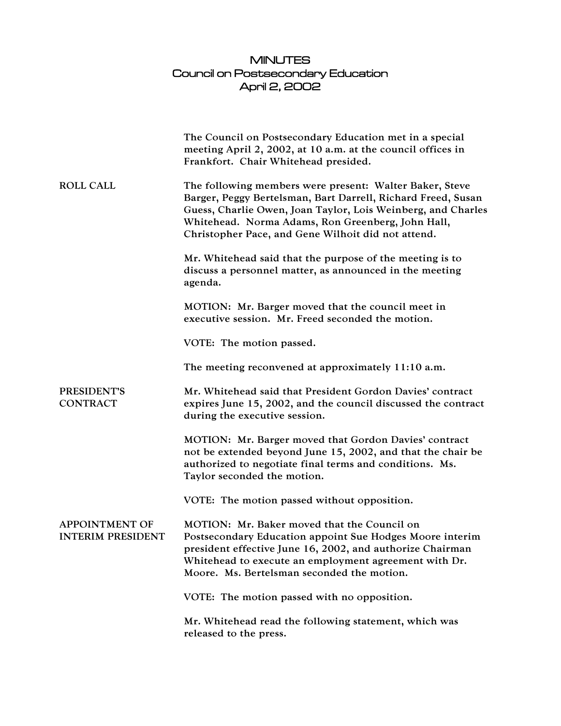## MINUTES Council on Postsecondary Education April 2, 2002

|                                                   | The Council on Postsecondary Education met in a special<br>meeting April 2, 2002, at 10 a.m. at the council offices in<br>Frankfort. Chair Whitehead presided.                                                                                                                                     |
|---------------------------------------------------|----------------------------------------------------------------------------------------------------------------------------------------------------------------------------------------------------------------------------------------------------------------------------------------------------|
| <b>ROLL CALL</b>                                  | The following members were present: Walter Baker, Steve<br>Barger, Peggy Bertelsman, Bart Darrell, Richard Freed, Susan<br>Guess, Charlie Owen, Joan Taylor, Lois Weinberg, and Charles<br>Whitehead. Norma Adams, Ron Greenberg, John Hall,<br>Christopher Pace, and Gene Wilhoit did not attend. |
|                                                   | Mr. Whitehead said that the purpose of the meeting is to<br>discuss a personnel matter, as announced in the meeting<br>agenda.                                                                                                                                                                     |
|                                                   | MOTION: Mr. Barger moved that the council meet in<br>executive session. Mr. Freed seconded the motion.                                                                                                                                                                                             |
|                                                   | VOTE: The motion passed.                                                                                                                                                                                                                                                                           |
|                                                   | The meeting reconvened at approximately 11:10 a.m.                                                                                                                                                                                                                                                 |
| PRESIDENT'S<br><b>CONTRACT</b>                    | Mr. Whitehead said that President Gordon Davies' contract<br>expires June 15, 2002, and the council discussed the contract<br>during the executive session.                                                                                                                                        |
|                                                   | MOTION: Mr. Barger moved that Gordon Davies' contract<br>not be extended beyond June 15, 2002, and that the chair be<br>authorized to negotiate final terms and conditions. Ms.<br>Taylor seconded the motion.                                                                                     |
|                                                   | VOTE: The motion passed without opposition.                                                                                                                                                                                                                                                        |
| <b>APPOINTMENT OF</b><br><b>INTERIM PRESIDENT</b> | MOTION: Mr. Baker moved that the Council on<br>Postsecondary Education appoint Sue Hodges Moore interim<br>president effective June 16, 2002, and authorize Chairman<br>Whitehead to execute an employment agreement with Dr.<br>Moore. Ms. Bertelsman seconded the motion.                        |
|                                                   | VOTE: The motion passed with no opposition.                                                                                                                                                                                                                                                        |
|                                                   | Mr. Whitehead read the following statement, which was<br>released to the press.                                                                                                                                                                                                                    |